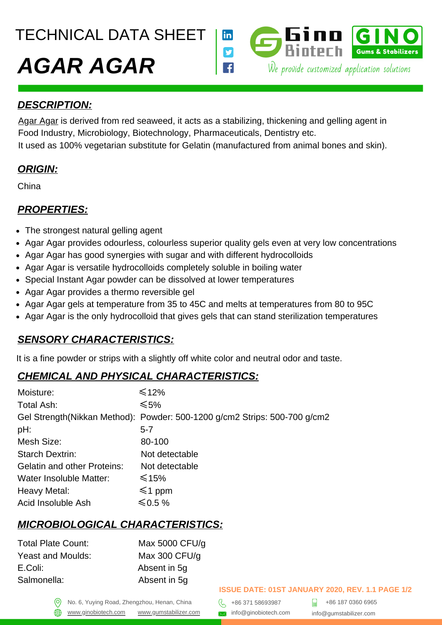TECHNICAL DATA SHEET



## *DESCRIPTION:*

[Agar Agar](https://gumstabilizer.com/products/agar-agar/) is derived from red seaweed, it acts as a stabilizing, thickening and gelling agent in Food Industry, Microbiology, Biotechnology, Pharmaceuticals, Dentistry etc. It used as 100% vegetarian substitute for Gelatin (manufactured from animal bones and skin).

## *ORIGIN:*

China

## *PROPERTIES:*

- The strongest natural gelling agent
- Agar Agar provides odourless, colourless superior quality gels even at very low concentrations
- Agar Agar has good synergies with sugar and with different hydrocolloids
- Agar Agar is versatile hydrocolloids completely soluble in boiling water
- Special Instant Agar powder can be dissolved at lower temperatures
- Agar Agar provides a thermo reversible gel
- Agar Agar gels at temperature from 35 to 45C and melts at temperatures from 80 to 95C
- Agar Agar is the only hydrocolloid that gives gels that can stand sterilization temperatures

## *SENSORY CHARACTERISTICS:*

It is a fine powder or strips with a slightly off white color and neutral odor and taste.

## *CHEMICAL AND PHYSICAL CHARACTERISTICS:*

| Moisture:                          | $\leq 12\%$                                                               |
|------------------------------------|---------------------------------------------------------------------------|
| Total Ash:                         | ≤5%                                                                       |
|                                    | Gel Strength(Nikkan Method): Powder: 500-1200 g/cm2 Strips: 500-700 g/cm2 |
| pH:                                | $5 - 7$                                                                   |
| Mesh Size:                         | 80-100                                                                    |
| <b>Starch Dextrin:</b>             | Not detectable                                                            |
| <b>Gelatin and other Proteins:</b> | Not detectable                                                            |
| Water Insoluble Matter:            | $≤15\%$                                                                   |
| Heavy Metal:                       | $\leq 1$ ppm                                                              |
| Acid Insoluble Ash                 | $≤$ 0.5 %                                                                 |

# *MICROBIOLOGICAL CHARACTERISTICS:*

| Max 5000 CFU/q |
|----------------|
| Max 300 CFU/g  |
| Absent in 5q   |
| Absent in 5q   |
|                |

### **ISSUE DATE: 01ST JANUARY 2020, REV. 1.1 PAGE 1/2**

No. 6, Yuying Road, Zhengzhou, Henan, China  $\left\{\begin{matrix} 1 & 1 & 1 \\ 1 & 1 & 1 & 1 \end{matrix}\right\}$  +86 371 58693987 [www.ginobiotech.com](http://www.ginobiotech.com/) www.gumstabilizer.com <br>www.ginobiotech.com www.gumstabilizer.com and info@ginobiotech.com

+86 187 0360 6965 info@gumstabilizer.com